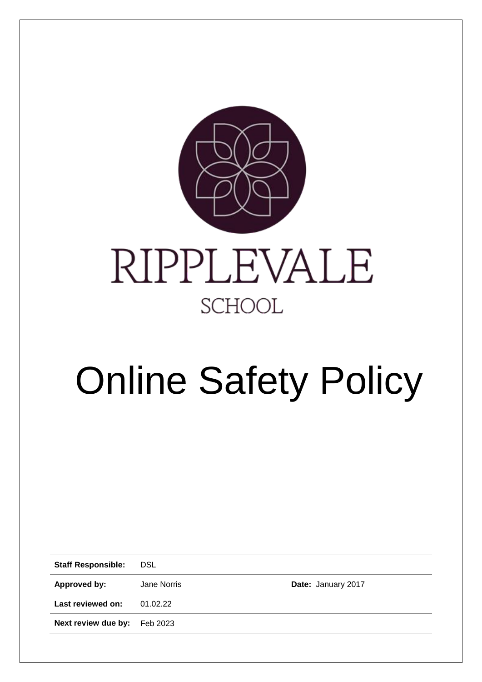

# Online Safety Policy

**Staff Responsible:** DSL **Approved by:** Jane Norris **Date:** January 2017 **Last reviewed on:** 01.02.22 **Next review due by:** Feb 2023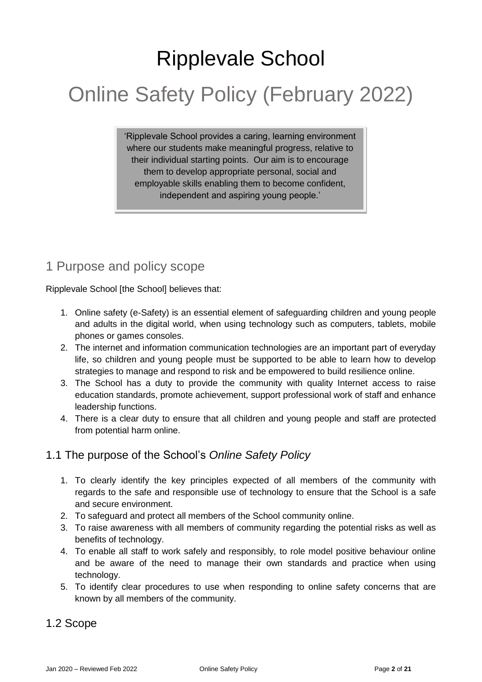# Ripplevale School

# Online Safety Policy (February 2022)

'Ripplevale School provides a caring, learning environment where our students make meaningful progress, relative to their individual starting points. Our aim is to encourage them to develop appropriate personal, social and employable skills enabling them to become confident, independent and aspiring young people.'

# 1 Purpose and policy scope

Ripplevale School [the School] believes that:

- 1. Online safety (e-Safety) is an essential element of safeguarding children and young people and adults in the digital world, when using technology such as computers, tablets, mobile phones or games consoles.
- 2. The internet and information communication technologies are an important part of everyday life, so children and young people must be supported to be able to learn how to develop strategies to manage and respond to risk and be empowered to build resilience online.
- 3. The School has a duty to provide the community with quality Internet access to raise education standards, promote achievement, support professional work of staff and enhance leadership functions.
- 4. There is a clear duty to ensure that all children and young people and staff are protected from potential harm online.

# 1.1 The purpose of the School's *Online Safety Policy*

- 1. To clearly identify the key principles expected of all members of the community with regards to the safe and responsible use of technology to ensure that the School is a safe and secure environment.
- 2. To safeguard and protect all members of the School community online.
- 3. To raise awareness with all members of community regarding the potential risks as well as benefits of technology.
- 4. To enable all staff to work safely and responsibly, to role model positive behaviour online and be aware of the need to manage their own standards and practice when using technology.
- 5. To identify clear procedures to use when responding to online safety concerns that are known by all members of the community.

# 1.2 Scope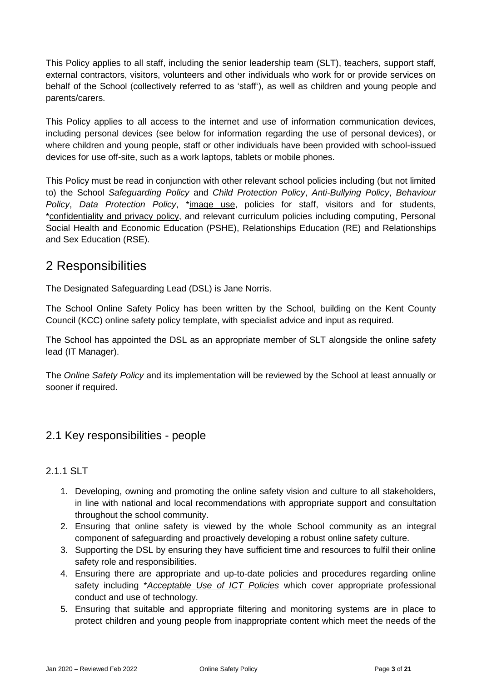This Policy applies to all staff, including the senior leadership team (SLT), teachers, support staff, external contractors, visitors, volunteers and other individuals who work for or provide services on behalf of the School (collectively referred to as 'staff'), as well as children and young people and parents/carers.

This Policy applies to all access to the internet and use of information communication devices, including personal devices (see below for information regarding the use of personal devices), or where children and young people, staff or other individuals have been provided with school-issued devices for use off-site, such as a work laptops, tablets or mobile phones.

This Policy must be read in conjunction with other relevant school policies including (but not limited to) the School *Safeguarding Policy* and *Child Protection Policy*, *Anti-Bullying Policy*, *Behaviour Policy*, *Data Protection Policy*, \*image use, policies for staff, visitors and for students, \*confidentiality and privacy policy, and relevant curriculum policies including computing, Personal Social Health and Economic Education (PSHE), Relationships Education (RE) and Relationships and Sex Education (RSE).

# 2 Responsibilities

The Designated Safeguarding Lead (DSL) is Jane Norris.

The School Online Safety Policy has been written by the School, building on the Kent County Council (KCC) online safety policy template, with specialist advice and input as required.

The School has appointed the DSL as an appropriate member of SLT alongside the online safety lead (IT Manager).

The *Online Safety Policy* and its implementation will be reviewed by the School at least annually or sooner if required.

#### 2.1 Key responsibilities - people

#### 2.1.1 SLT

- 1. Developing, owning and promoting the online safety vision and culture to all stakeholders, in line with national and local recommendations with appropriate support and consultation throughout the school community.
- 2. Ensuring that online safety is viewed by the whole School community as an integral component of safeguarding and proactively developing a robust online safety culture.
- 3. Supporting the DSL by ensuring they have sufficient time and resources to fulfil their online safety role and responsibilities.
- 4. Ensuring there are appropriate and up-to-date policies and procedures regarding online safety including \**Acceptable Use of ICT Policies* which cover appropriate professional conduct and use of technology.
- 5. Ensuring that suitable and appropriate filtering and monitoring systems are in place to protect children and young people from inappropriate content which meet the needs of the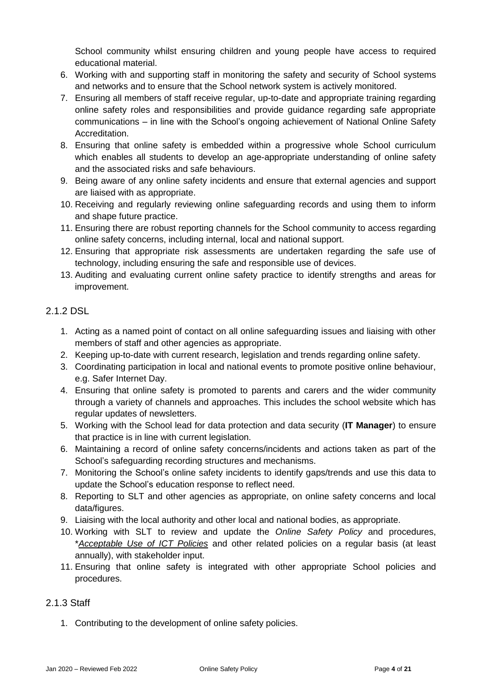School community whilst ensuring children and young people have access to required educational material.

- 6. Working with and supporting staff in monitoring the safety and security of School systems and networks and to ensure that the School network system is actively monitored.
- 7. Ensuring all members of staff receive regular, up-to-date and appropriate training regarding online safety roles and responsibilities and provide guidance regarding safe appropriate communications – in line with the School's ongoing achievement of National Online Safety Accreditation.
- 8. Ensuring that online safety is embedded within a progressive whole School curriculum which enables all students to develop an age-appropriate understanding of online safety and the associated risks and safe behaviours.
- 9. Being aware of any online safety incidents and ensure that external agencies and support are liaised with as appropriate.
- 10. Receiving and regularly reviewing online safeguarding records and using them to inform and shape future practice.
- 11. Ensuring there are robust reporting channels for the School community to access regarding online safety concerns, including internal, local and national support.
- 12. Ensuring that appropriate risk assessments are undertaken regarding the safe use of technology, including ensuring the safe and responsible use of devices.
- 13. Auditing and evaluating current online safety practice to identify strengths and areas for improvement.

#### 2.1.2 DSL

- 1. Acting as a named point of contact on all online safeguarding issues and liaising with other members of staff and other agencies as appropriate.
- 2. Keeping up-to-date with current research, legislation and trends regarding online safety.
- 3. Coordinating participation in local and national events to promote positive online behaviour, e.g. Safer Internet Day.
- 4. Ensuring that online safety is promoted to parents and carers and the wider community through a variety of channels and approaches. This includes the school website which has regular updates of newsletters.
- 5. Working with the School lead for data protection and data security (**IT Manager**) to ensure that practice is in line with current legislation.
- 6. Maintaining a record of online safety concerns/incidents and actions taken as part of the School's safeguarding recording structures and mechanisms.
- 7. Monitoring the School's online safety incidents to identify gaps/trends and use this data to update the School's education response to reflect need.
- 8. Reporting to SLT and other agencies as appropriate, on online safety concerns and local data/figures.
- 9. Liaising with the local authority and other local and national bodies, as appropriate.
- 10. Working with SLT to review and update the *Online Safety Policy* and procedures, \**Acceptable Use of ICT Policies* and other related policies on a regular basis (at least annually), with stakeholder input.
- 11. Ensuring that online safety is integrated with other appropriate School policies and procedures.

#### 2.1.3 Staff

1. Contributing to the development of online safety policies.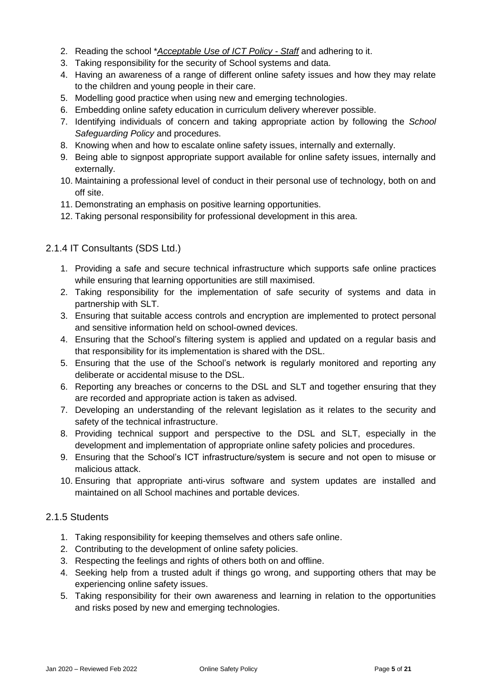- 2. Reading the school \**Acceptable Use of ICT Policy - Staff* and adhering to it.
- 3. Taking responsibility for the security of School systems and data.
- 4. Having an awareness of a range of different online safety issues and how they may relate to the children and young people in their care.
- 5. Modelling good practice when using new and emerging technologies.
- 6. Embedding online safety education in curriculum delivery wherever possible.
- 7. Identifying individuals of concern and taking appropriate action by following the *School Safeguarding Policy* and procedures.
- 8. Knowing when and how to escalate online safety issues, internally and externally.
- 9. Being able to signpost appropriate support available for online safety issues, internally and externally.
- 10. Maintaining a professional level of conduct in their personal use of technology, both on and off site.
- 11. Demonstrating an emphasis on positive learning opportunities.
- 12. Taking personal responsibility for professional development in this area.

#### 2.1.4 IT Consultants (SDS Ltd.)

- 1. Providing a safe and secure technical infrastructure which supports safe online practices while ensuring that learning opportunities are still maximised.
- 2. Taking responsibility for the implementation of safe security of systems and data in partnership with SLT.
- 3. Ensuring that suitable access controls and encryption are implemented to protect personal and sensitive information held on school-owned devices.
- 4. Ensuring that the School's filtering system is applied and updated on a regular basis and that responsibility for its implementation is shared with the DSL.
- 5. Ensuring that the use of the School's network is regularly monitored and reporting any deliberate or accidental misuse to the DSL.
- 6. Reporting any breaches or concerns to the DSL and SLT and together ensuring that they are recorded and appropriate action is taken as advised.
- 7. Developing an understanding of the relevant legislation as it relates to the security and safety of the technical infrastructure.
- 8. Providing technical support and perspective to the DSL and SLT, especially in the development and implementation of appropriate online safety policies and procedures.
- 9. Ensuring that the School's ICT infrastructure/system is secure and not open to misuse or malicious attack.
- 10. Ensuring that appropriate anti-virus software and system updates are installed and maintained on all School machines and portable devices.

#### 2.1.5 Students

- 1. Taking responsibility for keeping themselves and others safe online.
- 2. Contributing to the development of online safety policies.
- 3. Respecting the feelings and rights of others both on and offline.
- 4. Seeking help from a trusted adult if things go wrong, and supporting others that may be experiencing online safety issues.
- 5. Taking responsibility for their own awareness and learning in relation to the opportunities and risks posed by new and emerging technologies.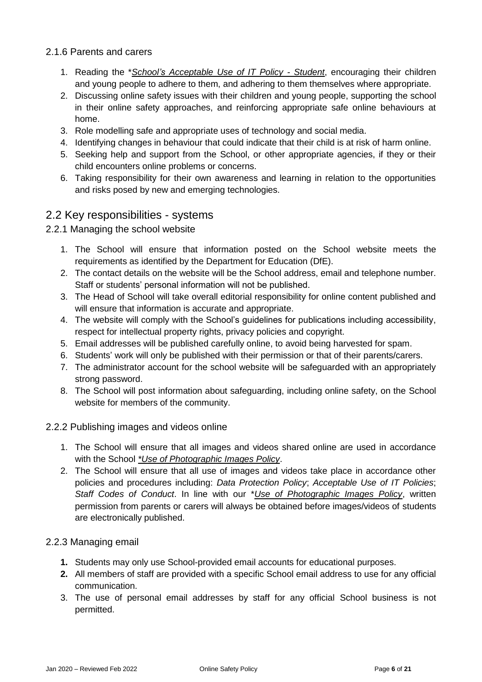#### 2.1.6 Parents and carers

- 1. Reading the \**School's Acceptable Use of IT Policy - Student*, encouraging their children and young people to adhere to them, and adhering to them themselves where appropriate.
- 2. Discussing online safety issues with their children and young people, supporting the school in their online safety approaches, and reinforcing appropriate safe online behaviours at home.
- 3. Role modelling safe and appropriate uses of technology and social media.
- 4. Identifying changes in behaviour that could indicate that their child is at risk of harm online.
- 5. Seeking help and support from the School, or other appropriate agencies, if they or their child encounters online problems or concerns.
- 6. Taking responsibility for their own awareness and learning in relation to the opportunities and risks posed by new and emerging technologies.

#### 2.2 Key responsibilities - systems

#### 2.2.1 Managing the school website

- 1. The School will ensure that information posted on the School website meets the requirements as identified by the Department for Education (DfE).
- 2. The contact details on the website will be the School address, email and telephone number. Staff or students' personal information will not be published.
- 3. The Head of School will take overall editorial responsibility for online content published and will ensure that information is accurate and appropriate.
- 4. The website will comply with the School's guidelines for publications including accessibility, respect for intellectual property rights, privacy policies and copyright.
- 5. Email addresses will be published carefully online, to avoid being harvested for spam.
- 6. Students' work will only be published with their permission or that of their parents/carers.
- 7. The administrator account for the school website will be safeguarded with an appropriately strong password.
- 8. The School will post information about safeguarding, including online safety, on the School website for members of the community.

#### 2.2.2 Publishing images and videos online

- 1. The School will ensure that all images and videos shared online are used in accordance with the School *\*Use of Photographic Images Policy*.
- 2. The School will ensure that all use of images and videos take place in accordance other policies and procedures including: *Data Protection Policy*; *Acceptable Use of IT Policies*; *Staff Codes of Conduct*. In line with our \**Use of Photographic Images Policy*, written permission from parents or carers will always be obtained before images/videos of students are electronically published.

#### 2.2.3 Managing email

- **1.** Students may only use School-provided email accounts for educational purposes.
- **2.** All members of staff are provided with a specific School email address to use for any official communication.
- 3. The use of personal email addresses by staff for any official School business is not permitted.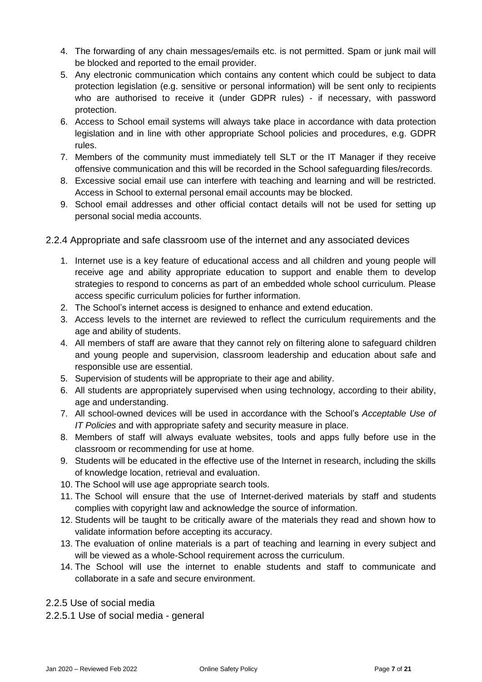- 4. The forwarding of any chain messages/emails etc. is not permitted. Spam or junk mail will be blocked and reported to the email provider.
- 5. Any electronic communication which contains any content which could be subject to data protection legislation (e.g. sensitive or personal information) will be sent only to recipients who are authorised to receive it (under GDPR rules) - if necessary, with password protection.
- 6. Access to School email systems will always take place in accordance with data protection legislation and in line with other appropriate School policies and procedures, e.g. GDPR rules.
- 7. Members of the community must immediately tell SLT or the IT Manager if they receive offensive communication and this will be recorded in the School safeguarding files/records.
- 8. Excessive social email use can interfere with teaching and learning and will be restricted. Access in School to external personal email accounts may be blocked.
- 9. School email addresses and other official contact details will not be used for setting up personal social media accounts.
- 2.2.4 Appropriate and safe classroom use of the internet and any associated devices
	- 1. Internet use is a key feature of educational access and all children and young people will receive age and ability appropriate education to support and enable them to develop strategies to respond to concerns as part of an embedded whole school curriculum. Please access specific curriculum policies for further information.
	- 2. The School's internet access is designed to enhance and extend education.
	- 3. Access levels to the internet are reviewed to reflect the curriculum requirements and the age and ability of students.
	- 4. All members of staff are aware that they cannot rely on filtering alone to safeguard children and young people and supervision, classroom leadership and education about safe and responsible use are essential.
	- 5. Supervision of students will be appropriate to their age and ability.
	- 6. All students are appropriately supervised when using technology, according to their ability, age and understanding.
	- 7. All school-owned devices will be used in accordance with the School's *Acceptable Use of IT Policies* and with appropriate safety and security measure in place.
	- 8. Members of staff will always evaluate websites, tools and apps fully before use in the classroom or recommending for use at home.
	- 9. Students will be educated in the effective use of the Internet in research, including the skills of knowledge location, retrieval and evaluation.
	- 10. The School will use age appropriate search tools.
	- 11. The School will ensure that the use of Internet-derived materials by staff and students complies with copyright law and acknowledge the source of information.
	- 12. Students will be taught to be critically aware of the materials they read and shown how to validate information before accepting its accuracy.
	- 13. The evaluation of online materials is a part of teaching and learning in every subject and will be viewed as a whole-School requirement across the curriculum.
	- 14. The School will use the internet to enable students and staff to communicate and collaborate in a safe and secure environment.
- 2.2.5 Use of social media
- 2.2.5.1 Use of social media general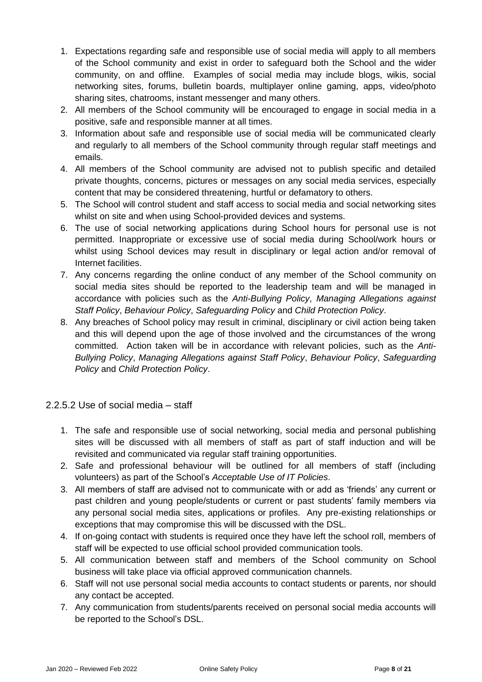- 1. Expectations regarding safe and responsible use of social media will apply to all members of the School community and exist in order to safeguard both the School and the wider community, on and offline. Examples of social media may include blogs, wikis, social networking sites, forums, bulletin boards, multiplayer online gaming, apps, video/photo sharing sites, chatrooms, instant messenger and many others.
- 2. All members of the School community will be encouraged to engage in social media in a positive, safe and responsible manner at all times.
- 3. Information about safe and responsible use of social media will be communicated clearly and regularly to all members of the School community through regular staff meetings and emails.
- 4. All members of the School community are advised not to publish specific and detailed private thoughts, concerns, pictures or messages on any social media services, especially content that may be considered threatening, hurtful or defamatory to others.
- 5. The School will control student and staff access to social media and social networking sites whilst on site and when using School-provided devices and systems.
- 6. The use of social networking applications during School hours for personal use is not permitted. Inappropriate or excessive use of social media during School/work hours or whilst using School devices may result in disciplinary or legal action and/or removal of Internet facilities.
- 7. Any concerns regarding the online conduct of any member of the School community on social media sites should be reported to the leadership team and will be managed in accordance with policies such as the *Anti-Bullying Policy*, *Managing Allegations against Staff Policy*, *Behaviour Policy*, *Safeguarding Policy* and *Child Protection Policy*.
- 8. Any breaches of School policy may result in criminal, disciplinary or civil action being taken and this will depend upon the age of those involved and the circumstances of the wrong committed. Action taken will be in accordance with relevant policies, such as the *Anti-Bullying Policy*, *Managing Allegations against Staff Policy*, *Behaviour Policy*, *Safeguarding Policy* and *Child Protection Policy*.

2.2.5.2 Use of social media – staff

- 1. The safe and responsible use of social networking, social media and personal publishing sites will be discussed with all members of staff as part of staff induction and will be revisited and communicated via regular staff training opportunities.
- 2. Safe and professional behaviour will be outlined for all members of staff (including volunteers) as part of the School's *Acceptable Use of IT Policies*.
- 3. All members of staff are advised not to communicate with or add as 'friends' any current or past children and young people/students or current or past students' family members via any personal social media sites, applications or profiles. Any pre-existing relationships or exceptions that may compromise this will be discussed with the DSL.
- 4. If on-going contact with students is required once they have left the school roll, members of staff will be expected to use official school provided communication tools.
- 5. All communication between staff and members of the School community on School business will take place via official approved communication channels.
- 6. Staff will not use personal social media accounts to contact students or parents, nor should any contact be accepted.
- 7. Any communication from students/parents received on personal social media accounts will be reported to the School's DSL.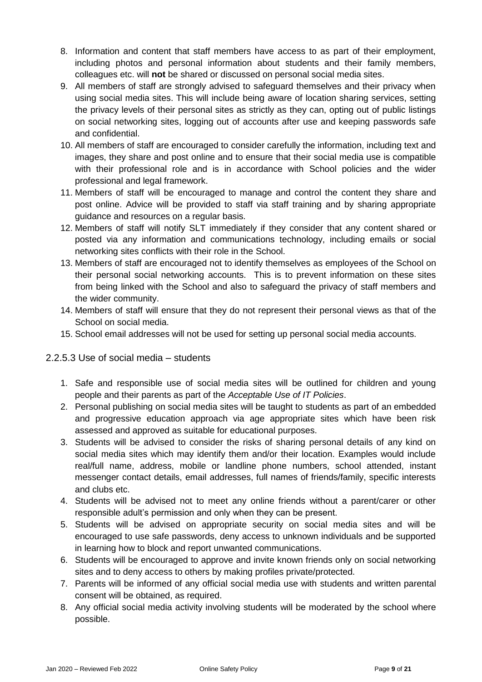- 8. Information and content that staff members have access to as part of their employment, including photos and personal information about students and their family members, colleagues etc. will **not** be shared or discussed on personal social media sites.
- 9. All members of staff are strongly advised to safeguard themselves and their privacy when using social media sites. This will include being aware of location sharing services, setting the privacy levels of their personal sites as strictly as they can, opting out of public listings on social networking sites, logging out of accounts after use and keeping passwords safe and confidential.
- 10. All members of staff are encouraged to consider carefully the information, including text and images, they share and post online and to ensure that their social media use is compatible with their professional role and is in accordance with School policies and the wider professional and legal framework.
- 11. Members of staff will be encouraged to manage and control the content they share and post online. Advice will be provided to staff via staff training and by sharing appropriate guidance and resources on a regular basis.
- 12. Members of staff will notify SLT immediately if they consider that any content shared or posted via any information and communications technology, including emails or social networking sites conflicts with their role in the School.
- 13. Members of staff are encouraged not to identify themselves as employees of the School on their personal social networking accounts. This is to prevent information on these sites from being linked with the School and also to safeguard the privacy of staff members and the wider community.
- 14. Members of staff will ensure that they do not represent their personal views as that of the School on social media.
- 15. School email addresses will not be used for setting up personal social media accounts.

#### 2.2.5.3 Use of social media – students

- 1. Safe and responsible use of social media sites will be outlined for children and young people and their parents as part of the *Acceptable Use of IT Policies*.
- 2. Personal publishing on social media sites will be taught to students as part of an embedded and progressive education approach via age appropriate sites which have been risk assessed and approved as suitable for educational purposes.
- 3. Students will be advised to consider the risks of sharing personal details of any kind on social media sites which may identify them and/or their location. Examples would include real/full name, address, mobile or landline phone numbers, school attended, instant messenger contact details, email addresses, full names of friends/family, specific interests and clubs etc.
- 4. Students will be advised not to meet any online friends without a parent/carer or other responsible adult's permission and only when they can be present.
- 5. Students will be advised on appropriate security on social media sites and will be encouraged to use safe passwords, deny access to unknown individuals and be supported in learning how to block and report unwanted communications.
- 6. Students will be encouraged to approve and invite known friends only on social networking sites and to deny access to others by making profiles private/protected.
- 7. Parents will be informed of any official social media use with students and written parental consent will be obtained, as required.
- 8. Any official social media activity involving students will be moderated by the school where possible.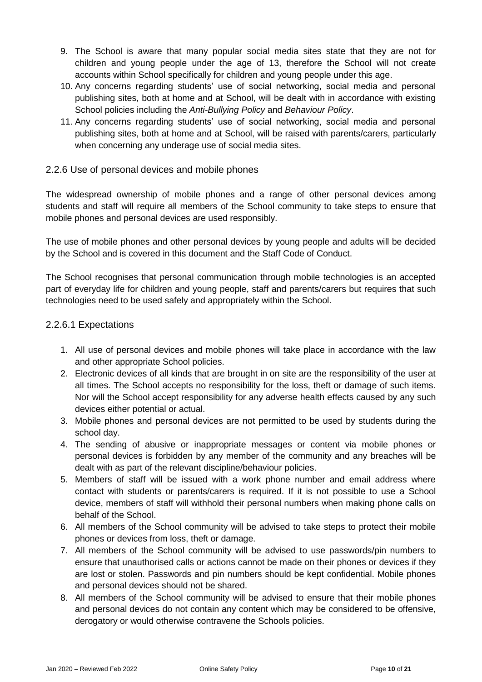- 9. The School is aware that many popular social media sites state that they are not for children and young people under the age of 13, therefore the School will not create accounts within School specifically for children and young people under this age.
- 10. Any concerns regarding students' use of social networking, social media and personal publishing sites, both at home and at School, will be dealt with in accordance with existing School policies including the *Anti-Bullying Policy* and *Behaviour Policy*.
- 11. Any concerns regarding students' use of social networking, social media and personal publishing sites, both at home and at School, will be raised with parents/carers, particularly when concerning any underage use of social media sites.

#### 2.2.6 Use of personal devices and mobile phones

The widespread ownership of mobile phones and a range of other personal devices among students and staff will require all members of the School community to take steps to ensure that mobile phones and personal devices are used responsibly.

The use of mobile phones and other personal devices by young people and adults will be decided by the School and is covered in this document and the Staff Code of Conduct.

The School recognises that personal communication through mobile technologies is an accepted part of everyday life for children and young people, staff and parents/carers but requires that such technologies need to be used safely and appropriately within the School.

#### 2.2.6.1 Expectations

- 1. All use of personal devices and mobile phones will take place in accordance with the law and other appropriate School policies.
- 2. Electronic devices of all kinds that are brought in on site are the responsibility of the user at all times. The School accepts no responsibility for the loss, theft or damage of such items. Nor will the School accept responsibility for any adverse health effects caused by any such devices either potential or actual.
- 3. Mobile phones and personal devices are not permitted to be used by students during the school day.
- 4. The sending of abusive or inappropriate messages or content via mobile phones or personal devices is forbidden by any member of the community and any breaches will be dealt with as part of the relevant discipline/behaviour policies.
- 5. Members of staff will be issued with a work phone number and email address where contact with students or parents/carers is required. If it is not possible to use a School device, members of staff will withhold their personal numbers when making phone calls on behalf of the School.
- 6. All members of the School community will be advised to take steps to protect their mobile phones or devices from loss, theft or damage.
- 7. All members of the School community will be advised to use passwords/pin numbers to ensure that unauthorised calls or actions cannot be made on their phones or devices if they are lost or stolen. Passwords and pin numbers should be kept confidential. Mobile phones and personal devices should not be shared.
- 8. All members of the School community will be advised to ensure that their mobile phones and personal devices do not contain any content which may be considered to be offensive, derogatory or would otherwise contravene the Schools policies.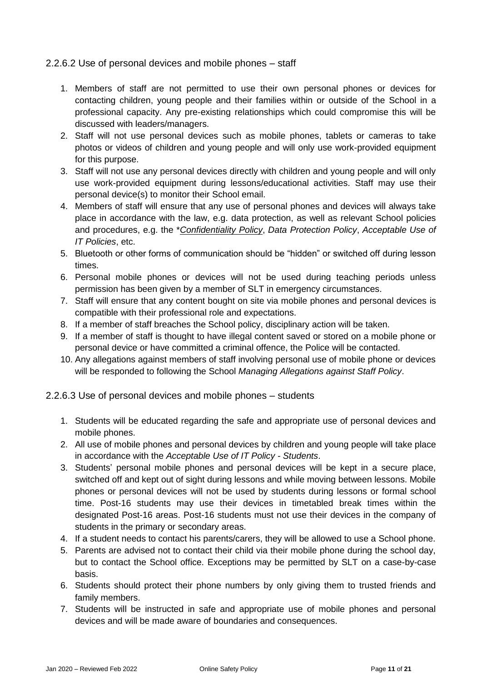#### 2.2.6.2 Use of personal devices and mobile phones – staff

- 1. Members of staff are not permitted to use their own personal phones or devices for contacting children, young people and their families within or outside of the School in a professional capacity. Any pre-existing relationships which could compromise this will be discussed with leaders/managers.
- 2. Staff will not use personal devices such as mobile phones, tablets or cameras to take photos or videos of children and young people and will only use work-provided equipment for this purpose.
- 3. Staff will not use any personal devices directly with children and young people and will only use work-provided equipment during lessons/educational activities. Staff may use their personal device(s) to monitor their School email.
- 4. Members of staff will ensure that any use of personal phones and devices will always take place in accordance with the law, e.g. data protection, as well as relevant School policies and procedures, e.g. the \**Confidentiality Policy*, *Data Protection Policy*, *Acceptable Use of IT Policies*, etc.
- 5. Bluetooth or other forms of communication should be "hidden" or switched off during lesson times.
- 6. Personal mobile phones or devices will not be used during teaching periods unless permission has been given by a member of SLT in emergency circumstances.
- 7. Staff will ensure that any content bought on site via mobile phones and personal devices is compatible with their professional role and expectations.
- 8. If a member of staff breaches the School policy, disciplinary action will be taken.
- 9. If a member of staff is thought to have illegal content saved or stored on a mobile phone or personal device or have committed a criminal offence, the Police will be contacted.
- 10. Any allegations against members of staff involving personal use of mobile phone or devices will be responded to following the School *Managing Allegations against Staff Policy*.

#### 2.2.6.3 Use of personal devices and mobile phones – students

- 1. Students will be educated regarding the safe and appropriate use of personal devices and mobile phones.
- 2. All use of mobile phones and personal devices by children and young people will take place in accordance with the *Acceptable Use of IT Policy - Students*.
- 3. Students' personal mobile phones and personal devices will be kept in a secure place, switched off and kept out of sight during lessons and while moving between lessons. Mobile phones or personal devices will not be used by students during lessons or formal school time. Post-16 students may use their devices in timetabled break times within the designated Post-16 areas. Post-16 students must not use their devices in the company of students in the primary or secondary areas.
- 4. If a student needs to contact his parents/carers, they will be allowed to use a School phone.
- 5. Parents are advised not to contact their child via their mobile phone during the school day, but to contact the School office. Exceptions may be permitted by SLT on a case-by-case basis.
- 6. Students should protect their phone numbers by only giving them to trusted friends and family members.
- 7. Students will be instructed in safe and appropriate use of mobile phones and personal devices and will be made aware of boundaries and consequences.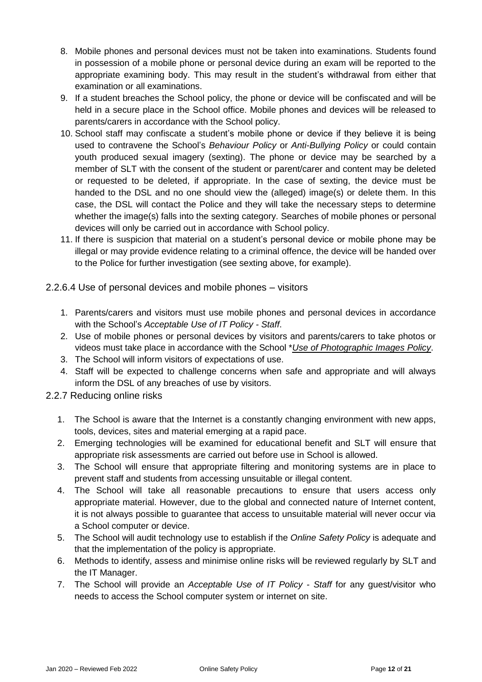- 8. Mobile phones and personal devices must not be taken into examinations. Students found in possession of a mobile phone or personal device during an exam will be reported to the appropriate examining body. This may result in the student's withdrawal from either that examination or all examinations.
- 9. If a student breaches the School policy, the phone or device will be confiscated and will be held in a secure place in the School office. Mobile phones and devices will be released to parents/carers in accordance with the School policy.
- 10. School staff may confiscate a student's mobile phone or device if they believe it is being used to contravene the School's *Behaviour Policy* or *Anti-Bullying Policy* or could contain youth produced sexual imagery (sexting). The phone or device may be searched by a member of SLT with the consent of the student or parent/carer and content may be deleted or requested to be deleted, if appropriate. In the case of sexting, the device must be handed to the DSL and no one should view the (alleged) image(s) or delete them. In this case, the DSL will contact the Police and they will take the necessary steps to determine whether the image(s) falls into the sexting category. Searches of mobile phones or personal devices will only be carried out in accordance with School policy.
- 11. If there is suspicion that material on a student's personal device or mobile phone may be illegal or may provide evidence relating to a criminal offence, the device will be handed over to the Police for further investigation (see sexting above, for example).
- 2.2.6.4 Use of personal devices and mobile phones visitors
	- 1. Parents/carers and visitors must use mobile phones and personal devices in accordance with the School's *Acceptable Use of IT Policy - Staff*.
	- 2. Use of mobile phones or personal devices by visitors and parents/carers to take photos or videos must take place in accordance with the School \**Use of Photographic Images Policy*.
	- 3. The School will inform visitors of expectations of use.
	- 4. Staff will be expected to challenge concerns when safe and appropriate and will always inform the DSL of any breaches of use by visitors.

#### 2.2.7 Reducing online risks

- 1. The School is aware that the Internet is a constantly changing environment with new apps, tools, devices, sites and material emerging at a rapid pace.
- 2. Emerging technologies will be examined for educational benefit and SLT will ensure that appropriate risk assessments are carried out before use in School is allowed.
- 3. The School will ensure that appropriate filtering and monitoring systems are in place to prevent staff and students from accessing unsuitable or illegal content.
- 4. The School will take all reasonable precautions to ensure that users access only appropriate material. However, due to the global and connected nature of Internet content, it is not always possible to guarantee that access to unsuitable material will never occur via a School computer or device.
- 5. The School will audit technology use to establish if the *Online Safety Policy* is adequate and that the implementation of the policy is appropriate.
- 6. Methods to identify, assess and minimise online risks will be reviewed regularly by SLT and the IT Manager.
- 7. The School will provide an *Acceptable Use of IT Policy - Staff* for any guest/visitor who needs to access the School computer system or internet on site.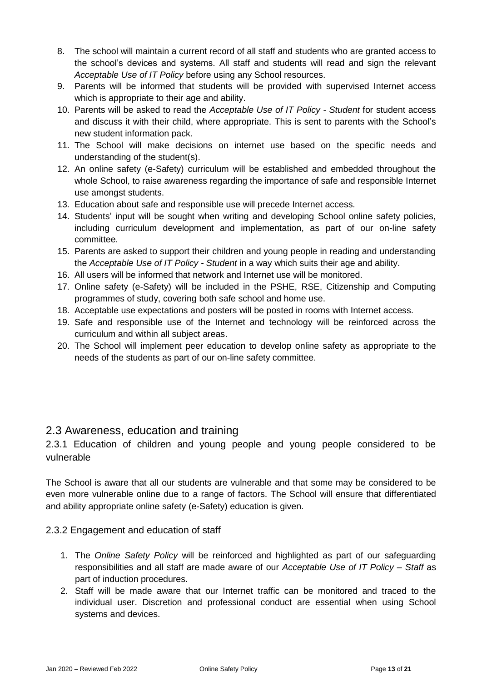- 8. The school will maintain a current record of all staff and students who are granted access to the school's devices and systems. All staff and students will read and sign the relevant *Acceptable Use of IT Policy* before using any School resources.
- 9. Parents will be informed that students will be provided with supervised Internet access which is appropriate to their age and ability.
- 10. Parents will be asked to read the *Acceptable Use of IT Policy - Student* for student access and discuss it with their child, where appropriate. This is sent to parents with the School's new student information pack.
- 11. The School will make decisions on internet use based on the specific needs and understanding of the student(s).
- 12. An online safety (e-Safety) curriculum will be established and embedded throughout the whole School, to raise awareness regarding the importance of safe and responsible Internet use amongst students.
- 13. Education about safe and responsible use will precede Internet access.
- 14. Students' input will be sought when writing and developing School online safety policies, including curriculum development and implementation, as part of our on-line safety committee.
- 15. Parents are asked to support their children and young people in reading and understanding the *Acceptable Use of IT Policy - Student* in a way which suits their age and ability.
- 16. All users will be informed that network and Internet use will be monitored.
- 17. Online safety (e-Safety) will be included in the PSHE, RSE, Citizenship and Computing programmes of study, covering both safe school and home use.
- 18. Acceptable use expectations and posters will be posted in rooms with Internet access.
- 19. Safe and responsible use of the Internet and technology will be reinforced across the curriculum and within all subject areas.
- 20. The School will implement peer education to develop online safety as appropriate to the needs of the students as part of our on-line safety committee.

# 2.3 Awareness, education and training

2.3.1 Education of children and young people and young people considered to be vulnerable

The School is aware that all our students are vulnerable and that some may be considered to be even more vulnerable online due to a range of factors. The School will ensure that differentiated and ability appropriate online safety (e-Safety) education is given.

#### 2.3.2 Engagement and education of staff

- 1. The *Online Safety Policy* will be reinforced and highlighted as part of our safeguarding responsibilities and all staff are made aware of our *Acceptable Use of IT Policy – Staff* as part of induction procedures.
- 2. Staff will be made aware that our Internet traffic can be monitored and traced to the individual user. Discretion and professional conduct are essential when using School systems and devices.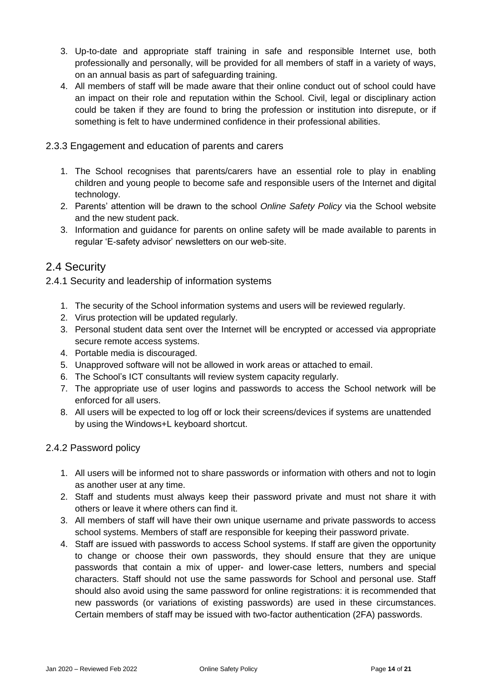- 3. Up-to-date and appropriate staff training in safe and responsible Internet use, both professionally and personally, will be provided for all members of staff in a variety of ways, on an annual basis as part of safeguarding training.
- 4. All members of staff will be made aware that their online conduct out of school could have an impact on their role and reputation within the School. Civil, legal or disciplinary action could be taken if they are found to bring the profession or institution into disrepute, or if something is felt to have undermined confidence in their professional abilities.
- 2.3.3 Engagement and education of parents and carers
	- 1. The School recognises that parents/carers have an essential role to play in enabling children and young people to become safe and responsible users of the Internet and digital technology.
	- 2. Parents' attention will be drawn to the school *Online Safety Policy* via the School website and the new student pack.
	- 3. Information and guidance for parents on online safety will be made available to parents in regular 'E-safety advisor' newsletters on our web-site.

### 2.4 Security

2.4.1 Security and leadership of information systems

- 1. The security of the School information systems and users will be reviewed regularly.
- 2. Virus protection will be updated regularly.
- 3. Personal student data sent over the Internet will be encrypted or accessed via appropriate secure remote access systems.
- 4. Portable media is discouraged.
- 5. Unapproved software will not be allowed in work areas or attached to email.
- 6. The School's ICT consultants will review system capacity regularly.
- 7. The appropriate use of user logins and passwords to access the School network will be enforced for all users.
- 8. All users will be expected to log off or lock their screens/devices if systems are unattended by using the Windows+L keyboard shortcut.

#### 2.4.2 Password policy

- 1. All users will be informed not to share passwords or information with others and not to login as another user at any time.
- 2. Staff and students must always keep their password private and must not share it with others or leave it where others can find it.
- 3. All members of staff will have their own unique username and private passwords to access school systems. Members of staff are responsible for keeping their password private.
- 4. Staff are issued with passwords to access School systems. If staff are given the opportunity to change or choose their own passwords, they should ensure that they are unique passwords that contain a mix of upper- and lower-case letters, numbers and special characters. Staff should not use the same passwords for School and personal use. Staff should also avoid using the same password for online registrations: it is recommended that new passwords (or variations of existing passwords) are used in these circumstances. Certain members of staff may be issued with two-factor authentication (2FA) passwords.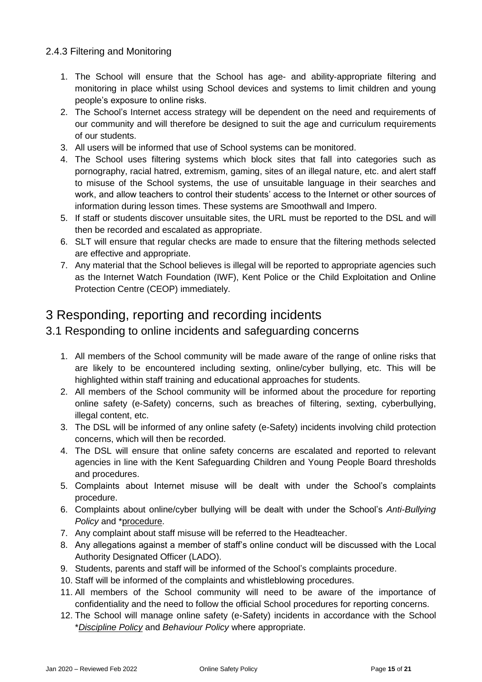#### 2.4.3 Filtering and Monitoring

- 1. The School will ensure that the School has age- and ability-appropriate filtering and monitoring in place whilst using School devices and systems to limit children and young people's exposure to online risks.
- 2. The School's Internet access strategy will be dependent on the need and requirements of our community and will therefore be designed to suit the age and curriculum requirements of our students.
- 3. All users will be informed that use of School systems can be monitored.
- 4. The School uses filtering systems which block sites that fall into categories such as pornography, racial hatred, extremism, gaming, sites of an illegal nature, etc. and alert staff to misuse of the School systems, the use of unsuitable language in their searches and work, and allow teachers to control their students' access to the Internet or other sources of information during lesson times. These systems are Smoothwall and Impero.
- 5. If staff or students discover unsuitable sites, the URL must be reported to the DSL and will then be recorded and escalated as appropriate.
- 6. SLT will ensure that regular checks are made to ensure that the filtering methods selected are effective and appropriate.
- 7. Any material that the School believes is illegal will be reported to appropriate agencies such as the Internet Watch Foundation (IWF), Kent Police or the Child Exploitation and Online Protection Centre (CEOP) immediately.

# 3 Responding, reporting and recording incidents

# 3.1 Responding to online incidents and safeguarding concerns

- 1. All members of the School community will be made aware of the range of online risks that are likely to be encountered including sexting, online/cyber bullying, etc. This will be highlighted within staff training and educational approaches for students.
- 2. All members of the School community will be informed about the procedure for reporting online safety (e-Safety) concerns, such as breaches of filtering, sexting, cyberbullying, illegal content, etc.
- 3. The DSL will be informed of any online safety (e-Safety) incidents involving child protection concerns, which will then be recorded.
- 4. The DSL will ensure that online safety concerns are escalated and reported to relevant agencies in line with the Kent Safeguarding Children and Young People Board thresholds and procedures.
- 5. Complaints about Internet misuse will be dealt with under the School's complaints procedure.
- 6. Complaints about online/cyber bullying will be dealt with under the School's *Anti-Bullying Policy* and \*procedure.
- 7. Any complaint about staff misuse will be referred to the Headteacher.
- 8. Any allegations against a member of staff's online conduct will be discussed with the Local Authority Designated Officer (LADO).
- 9. Students, parents and staff will be informed of the School's complaints procedure.
- 10. Staff will be informed of the complaints and whistleblowing procedures.
- 11. All members of the School community will need to be aware of the importance of confidentiality and the need to follow the official School procedures for reporting concerns.
- 12. The School will manage online safety (e-Safety) incidents in accordance with the School \**Discipline Policy* and *Behaviour Policy* where appropriate.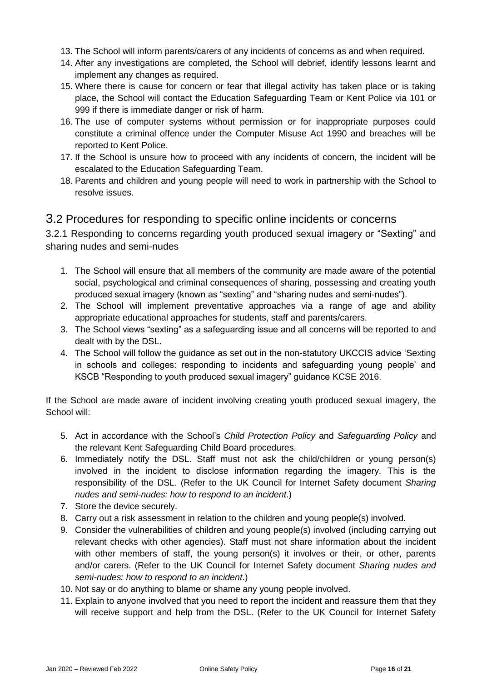- 13. The School will inform parents/carers of any incidents of concerns as and when required.
- 14. After any investigations are completed, the School will debrief, identify lessons learnt and implement any changes as required.
- 15. Where there is cause for concern or fear that illegal activity has taken place or is taking place, the School will contact the Education Safeguarding Team or Kent Police via 101 or 999 if there is immediate danger or risk of harm.
- 16. The use of computer systems without permission or for inappropriate purposes could constitute a criminal offence under the Computer Misuse Act 1990 and breaches will be reported to Kent Police.
- 17. If the School is unsure how to proceed with any incidents of concern, the incident will be escalated to the Education Safeguarding Team.
- 18. Parents and children and young people will need to work in partnership with the School to resolve issues.

# 3.2 Procedures for responding to specific online incidents or concerns

3.2.1 Responding to concerns regarding youth produced sexual imagery or "Sexting" and sharing nudes and semi-nudes

- 1. The School will ensure that all members of the community are made aware of the potential social, psychological and criminal consequences of sharing, possessing and creating youth produced sexual imagery (known as "sexting" and "sharing nudes and semi-nudes").
- 2. The School will implement preventative approaches via a range of age and ability appropriate educational approaches for students, staff and parents/carers.
- 3. The School views "sexting" as a safeguarding issue and all concerns will be reported to and dealt with by the DSL.
- 4. The School will follow the guidance as set out in the non-statutory UKCCIS advice 'Sexting in schools and colleges: responding to incidents and safeguarding young people' and KSCB "Responding to youth produced sexual imagery" guidance KCSE 2016.

If the School are made aware of incident involving creating youth produced sexual imagery, the School will:

- 5. Act in accordance with the School's *Child Protection Policy* and *Safeguarding Policy* and the relevant Kent Safeguarding Child Board procedures.
- 6. Immediately notify the DSL. Staff must not ask the child/children or young person(s) involved in the incident to disclose information regarding the imagery. This is the responsibility of the DSL. (Refer to the UK Council for Internet Safety document *Sharing nudes and semi-nudes: how to respond to an incident*.)
- 7. Store the device securely.
- 8. Carry out a risk assessment in relation to the children and young people(s) involved.
- 9. Consider the vulnerabilities of children and young people(s) involved (including carrying out relevant checks with other agencies). Staff must not share information about the incident with other members of staff, the young person(s) it involves or their, or other, parents and/or carers. (Refer to the UK Council for Internet Safety document *Sharing nudes and semi-nudes: how to respond to an incident*.)
- 10. Not say or do anything to blame or shame any young people involved.
- 11. Explain to anyone involved that you need to report the incident and reassure them that they will receive support and help from the DSL. (Refer to the UK Council for Internet Safety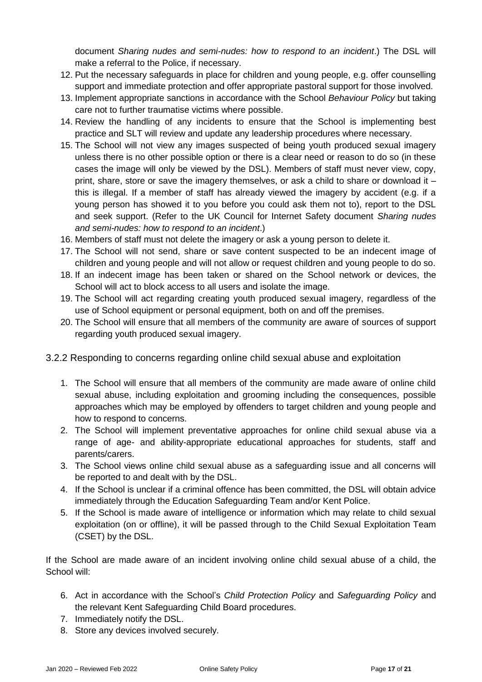document *Sharing nudes and semi-nudes: how to respond to an incident*.) The DSL will make a referral to the Police, if necessary.

- 12. Put the necessary safeguards in place for children and young people, e.g. offer counselling support and immediate protection and offer appropriate pastoral support for those involved.
- 13. Implement appropriate sanctions in accordance with the School *Behaviour Policy* but taking care not to further traumatise victims where possible.
- 14. Review the handling of any incidents to ensure that the School is implementing best practice and SLT will review and update any leadership procedures where necessary.
- 15. The School will not view any images suspected of being youth produced sexual imagery unless there is no other possible option or there is a clear need or reason to do so (in these cases the image will only be viewed by the DSL). Members of staff must never view, copy, print, share, store or save the imagery themselves, or ask a child to share or download it – this is illegal. If a member of staff has already viewed the imagery by accident (e.g. if a young person has showed it to you before you could ask them not to), report to the DSL and seek support. (Refer to the UK Council for Internet Safety document *Sharing nudes and semi-nudes: how to respond to an incident*.)
- 16. Members of staff must not delete the imagery or ask a young person to delete it.
- 17. The School will not send, share or save content suspected to be an indecent image of children and young people and will not allow or request children and young people to do so.
- 18. If an indecent image has been taken or shared on the School network or devices, the School will act to block access to all users and isolate the image.
- 19. The School will act regarding creating youth produced sexual imagery, regardless of the use of School equipment or personal equipment, both on and off the premises.
- 20. The School will ensure that all members of the community are aware of sources of support regarding youth produced sexual imagery.
- 3.2.2 Responding to concerns regarding online child sexual abuse and exploitation
	- 1. The School will ensure that all members of the community are made aware of online child sexual abuse, including exploitation and grooming including the consequences, possible approaches which may be employed by offenders to target children and young people and how to respond to concerns.
	- 2. The School will implement preventative approaches for online child sexual abuse via a range of age- and ability-appropriate educational approaches for students, staff and parents/carers.
	- 3. The School views online child sexual abuse as a safeguarding issue and all concerns will be reported to and dealt with by the DSL.
	- 4. If the School is unclear if a criminal offence has been committed, the DSL will obtain advice immediately through the Education Safeguarding Team and/or Kent Police.
	- 5. If the School is made aware of intelligence or information which may relate to child sexual exploitation (on or offline), it will be passed through to the Child Sexual Exploitation Team (CSET) by the DSL.

If the School are made aware of an incident involving online child sexual abuse of a child, the School will:

- 6. Act in accordance with the School's *Child Protection Policy* and *Safeguarding Policy* and the relevant Kent Safeguarding Child Board procedures.
- 7. Immediately notify the DSL.
- 8. Store any devices involved securely.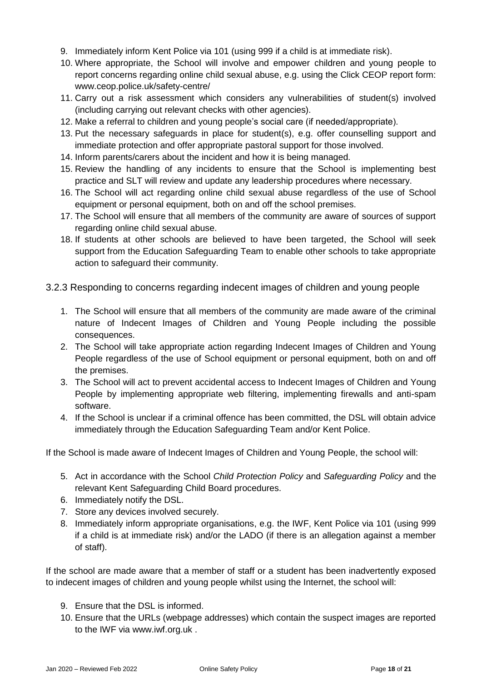- 9. Immediately inform Kent Police via 101 (using 999 if a child is at immediate risk).
- 10. Where appropriate, the School will involve and empower children and young people to report concerns regarding online child sexual abuse, e.g. using the Click CEOP report form: [www.ceop.police.uk/safety-centre/](http://www.ceop.police.uk/safety-centre/)
- 11. Carry out a risk assessment which considers any vulnerabilities of student(s) involved (including carrying out relevant checks with other agencies).
- 12. Make a referral to children and young people's social care (if needed/appropriate).
- 13. Put the necessary safeguards in place for student(s), e.g. offer counselling support and immediate protection and offer appropriate pastoral support for those involved.
- 14. Inform parents/carers about the incident and how it is being managed.
- 15. Review the handling of any incidents to ensure that the School is implementing best practice and SLT will review and update any leadership procedures where necessary.
- 16. The School will act regarding online child sexual abuse regardless of the use of School equipment or personal equipment, both on and off the school premises.
- 17. The School will ensure that all members of the community are aware of sources of support regarding online child sexual abuse.
- 18. If students at other schools are believed to have been targeted, the School will seek support from the Education Safeguarding Team to enable other schools to take appropriate action to safeguard their community.
- 3.2.3 Responding to concerns regarding indecent images of children and young people
	- 1. The School will ensure that all members of the community are made aware of the criminal nature of Indecent Images of Children and Young People including the possible consequences.
	- 2. The School will take appropriate action regarding Indecent Images of Children and Young People regardless of the use of School equipment or personal equipment, both on and off the premises.
	- 3. The School will act to prevent accidental access to Indecent Images of Children and Young People by implementing appropriate web filtering, implementing firewalls and anti-spam software.
	- 4. If the School is unclear if a criminal offence has been committed, the DSL will obtain advice immediately through the Education Safeguarding Team and/or Kent Police.

If the School is made aware of Indecent Images of Children and Young People, the school will:

- 5. Act in accordance with the School *Child Protection Policy* and *Safeguarding Policy* and the relevant Kent Safeguarding Child Board procedures.
- 6. Immediately notify the DSL.
- 7. Store any devices involved securely.
- 8. Immediately inform appropriate organisations, e.g. the IWF, Kent Police via 101 (using 999 if a child is at immediate risk) and/or the LADO (if there is an allegation against a member of staff).

If the school are made aware that a member of staff or a student has been inadvertently exposed to indecent images of children and young people whilst using the Internet, the school will:

- 9. Ensure that the DSL is informed.
- 10. Ensure that the URLs (webpage addresses) which contain the suspect images are reported to the IWF via [www.iwf.org.uk](https://www.iwf.org.uk/) .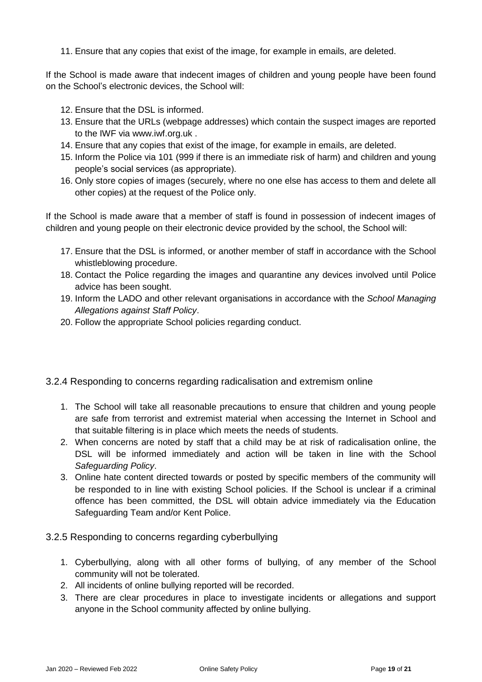11. Ensure that any copies that exist of the image, for example in emails, are deleted.

If the School is made aware that indecent images of children and young people have been found on the School's electronic devices, the School will:

- 12. Ensure that the DSL is informed.
- 13. Ensure that the URLs (webpage addresses) which contain the suspect images are reported to the IWF via [www.iwf.org.uk](https://www.iwf.org.uk/) .
- 14. Ensure that any copies that exist of the image, for example in emails, are deleted.
- 15. Inform the Police via 101 (999 if there is an immediate risk of harm) and children and young people's social services (as appropriate).
- 16. Only store copies of images (securely, where no one else has access to them and delete all other copies) at the request of the Police only.

If the School is made aware that a member of staff is found in possession of indecent images of children and young people on their electronic device provided by the school, the School will:

- 17. Ensure that the DSL is informed, or another member of staff in accordance with the School whistleblowing procedure.
- 18. Contact the Police regarding the images and quarantine any devices involved until Police advice has been sought.
- 19. Inform the LADO and other relevant organisations in accordance with the *School Managing Allegations against Staff Policy*.
- 20. Follow the appropriate School policies regarding conduct.
- 3.2.4 Responding to concerns regarding radicalisation and extremism online
	- 1. The School will take all reasonable precautions to ensure that children and young people are safe from terrorist and extremist material when accessing the Internet in School and that suitable filtering is in place which meets the needs of students.
	- 2. When concerns are noted by staff that a child may be at risk of radicalisation online, the DSL will be informed immediately and action will be taken in line with the School *Safeguarding Policy*.
	- 3. Online hate content directed towards or posted by specific members of the community will be responded to in line with existing School policies. If the School is unclear if a criminal offence has been committed, the DSL will obtain advice immediately via the Education Safeguarding Team and/or Kent Police.
- 3.2.5 Responding to concerns regarding cyberbullying
	- 1. Cyberbullying, along with all other forms of bullying, of any member of the School community will not be tolerated.
	- 2. All incidents of online bullying reported will be recorded.
	- 3. There are clear procedures in place to investigate incidents or allegations and support anyone in the School community affected by online bullying.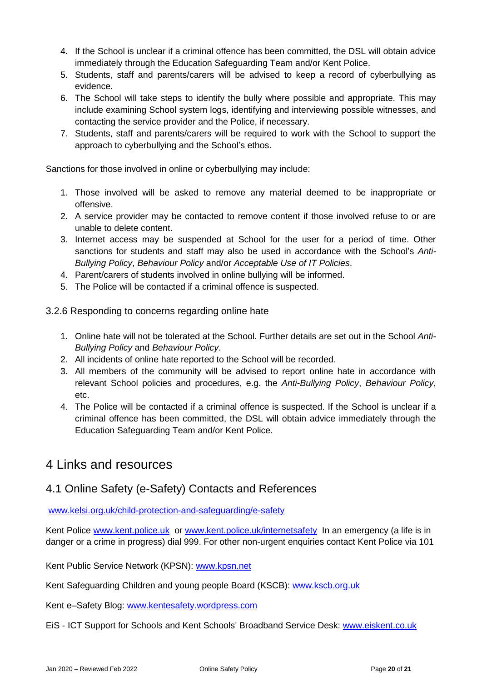- 4. If the School is unclear if a criminal offence has been committed, the DSL will obtain advice immediately through the Education Safeguarding Team and/or Kent Police.
- 5. Students, staff and parents/carers will be advised to keep a record of cyberbullying as evidence.
- 6. The School will take steps to identify the bully where possible and appropriate. This may include examining School system logs, identifying and interviewing possible witnesses, and contacting the service provider and the Police, if necessary.
- 7. Students, staff and parents/carers will be required to work with the School to support the approach to cyberbullying and the School's ethos.

Sanctions for those involved in online or cyberbullying may include:

- 1. Those involved will be asked to remove any material deemed to be inappropriate or offensive.
- 2. A service provider may be contacted to remove content if those involved refuse to or are unable to delete content.
- 3. Internet access may be suspended at School for the user for a period of time. Other sanctions for students and staff may also be used in accordance with the School's *Anti-Bullying Policy*, *Behaviour Policy* and/or *Acceptable Use of IT Policies*.
- 4. Parent/carers of students involved in online bullying will be informed.
- 5. The Police will be contacted if a criminal offence is suspected.

3.2.6 Responding to concerns regarding online hate

- 1. Online hate will not be tolerated at the School. Further details are set out in the School *Anti-Bullying Policy* and *Behaviour Policy*.
- 2. All incidents of online hate reported to the School will be recorded.
- 3. All members of the community will be advised to report online hate in accordance with relevant School policies and procedures, e.g. the *Anti-Bullying Policy*, *Behaviour Policy*, etc.
- 4. The Police will be contacted if a criminal offence is suspected. If the School is unclear if a criminal offence has been committed, the DSL will obtain advice immediately through the Education Safeguarding Team and/or Kent Police.

# 4 Links and resources

# 4.1 Online Safety (e-Safety) Contacts and References

www.kelsi.org.uk/child-protection-and-safeguarding/e-safety

Kent Police [www.kent.police.uk](http://www.kent.police.uk/) or [www.kent.police.uk/internetsafety](http://www.kent.police.uk/internetsafety) In an emergency (a life is in danger or a crime in progress) dial 999. For other non-urgent enquiries contact Kent Police via 101

Kent Public Service Network (KPSN): [www.kpsn.net](http://www.kpsn.net/)

Kent Safeguarding Children and young people Board (KSCB): [www.kscb.org.uk](http://www.kscb.org.uk/)

Kent e–Safety Blog: [www.kentesafety.wordpress.com](http://www.kentesafety.wordpress.com/)

EiS - ICT Support for Schools and Kent Schools' Broadband Service Desk: [www.eiskent.co.uk](http://www.eiskent.co.uk/)